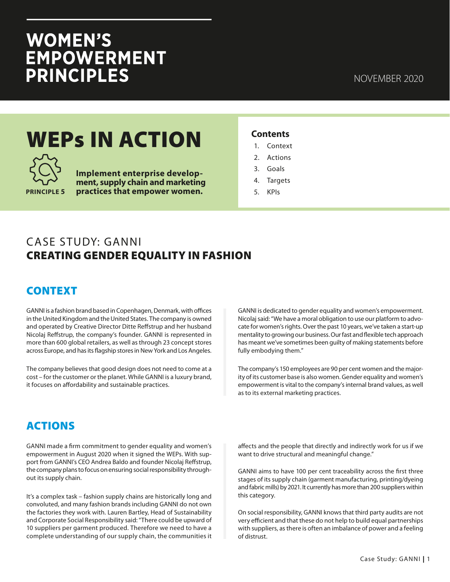# WOMEN'S<br>EMPOWERMENT **PRINCIPLES**

## WEPs IN ACTION



**Implement enterprise development, supply chain and marketing practices that empower women.** 

#### **Contents**

- 1. Context
- 2. Actions
- 3. Goals
- 4. Targets
- 5. KPIs

### CASE STUDY: GANNI CREATING GENDER EQUALITY IN FASHION

#### CONTEXT

GANNI is a fashion brand based in Copenhagen, Denmark, with offices in the United Kingdom and the United States. The company is owned and operated by Creative Director Ditte Reffstrup and her husband Nicolaj Reffstrup, the company's founder. GANNI is represented in more than 600 global retailers, as well as through 23 concept stores across Europe, and has its flagship stores in New York and Los Angeles.

The company believes that good design does not need to come at a cost – for the customer or the planet. While GANNI is a luxury brand, it focuses on affordability and sustainable practices.

GANNI is dedicated to gender equality and women's empowerment. Nicolaj said: "We have a moral obligation to use our platform to advocate for women's rights. Over the past 10 years, we've taken a start-up mentality to growing our business. Our fast and flexible tech approach has meant we've sometimes been guilty of making statements before fully embodying them."

The company's 150 employees are 90 per cent women and the majority of its customer base is also women. Gender equality and women's empowerment is vital to the company's internal brand values, as well as to its external marketing practices.

#### ACTIONS

GANNI made a firm commitment to gender equality and women's empowerment in August 2020 when it signed the WEPs. With support from GANNI's CEO Andrea Baldo and founder Nicolaj Reffstrup, the company plans to focus on ensuring social responsibility throughout its supply chain.

It's a complex task – fashion supply chains are historically long and convoluted, and many fashion brands including GANNI do not own the factories they work with. Lauren Bartley, Head of Sustainability and Corporate Social Responsibility said: "There could be upward of 10 suppliers per garment produced. Therefore we need to have a complete understanding of our supply chain, the communities it affects and the people that directly and indirectly work for us if we want to drive structural and meaningful change."

GANNI aims to have 100 per cent traceability across the first three stages of its supply chain (garment manufacturing, printing/dyeing and fabric mills) by 2021. It currently has more than 200 suppliers within this category.

On social responsibility, GANNI knows that third party audits are not very efficient and that these do not help to build equal partnerships with suppliers, as there is often an imbalance of power and a feeling of distrust.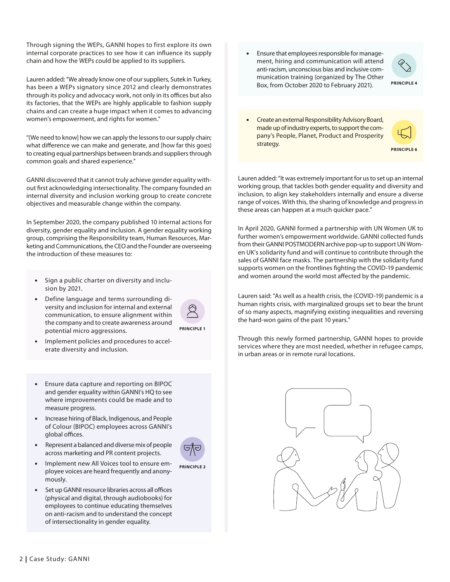Through signing the WEPs, GANNI hopes to first explore its own internal corporate practices to see how it can influence its supply chain and how the WEPs could be applied to its suppliers.

Lauren added: "We already know one of our suppliers, Sutek in Turkey, has been a WEPs signatory since 2012 and clearly demonstrates through its policy and advocacy work, not only in its offices but also its factories, that the WEPs are highly applicable to fashion supply chains and can create a huge impact when it comes to advancing women's empowerment, and rights for women."

"(We need to know] how we can apply the lessons to our supply chain; what difference we can make and generate, and [how far this goes) to creating equal partnerships between brands and suppliers through common goals and shared experience."

GANNI discovered that it cannot truly achieve gender equality without first acknowledging intersectionality. The company founded an internal diversity and inclusion working group to create concrete objectives and measurable change within the company.

In September 2020, the company published 10 internal actions for diversity, gender equality and inclusion. A gender equality working group, comprising the Responsibility team, Human Resources, Marketing and Communications, the CEO and the Founder are overseeing the introduction of these measures to:

- Sign a public charter on diversity and inclusion by 2021.
- Define language and terms surrounding diversity and inclusion for internal and external communication, to ensure alignment within the company and to create awareness around potential micro aggressions.



• Implement policies and procedures to accelerate diversity and inclusion.

- Ensure data capture and reporting on BIPOC and gender equality within GANNI's HQ to see where improvements could be made and to measure progress.
- Increase hiring of Black, Indigenous, and People of Colour (BIPOC) employees across GANNI's global offices.
- Represent a balanced and diverse mix of people across marketing and PR content projects.



**PRINCIPLE 2**

- Implement new All Voices tool to ensure employee voices are heard frequently and anonymously.
- Set up GANNI resource libraries across all offices (physical and digital, through audiobooks) for employees to continue educating themselves on anti-racism and to understand the concept of intersectionality in gender equality.

• Ensure that employees responsible for management, hiring and communication will attend anti-racism, unconscious bias and inclusive communication training (organized by The Other Box, from October 2020 to February 2021).



• Create an external Responsibility Advisory Board, made up of industry experts, to support the company's People, Planet, Product and Prosperity strategy.

**PRINCIPLE 6**

Lauren added: "It was extremely important for us to set up an internal working group, that tackles both gender equality and diversity and inclusion, to align key stakeholders internally and ensure a diverse range of voices. With this, the sharing of knowledge and progress in these areas can happen at a much quicker pace."

In April 2020, GANNI formed a partnership with UN Women UK to further women's empowerment worldwide. GANNI collected funds from their GANNI POSTMODERN archive pop-up to support UN Women UK's solidarity fund and will continue to contribute through the sales of GANNI face masks. The partnership with the solidarity fund supports women on the frontlines fighting the COVID-19 pandemic and women around the world most affected by the pandemic.

Lauren said: "As well as a health crisis, the (COVID-19) pandemic is a human rights crisis, with marginalized groups set to bear the brunt of so many aspects, magnifying existing inequalities and reversing the hard-won gains of the past 10 years."

Through this newly formed partnership, GANNI hopes to provide services where they are most needed, whether in refugee camps, in urban areas or in remote rural locations.

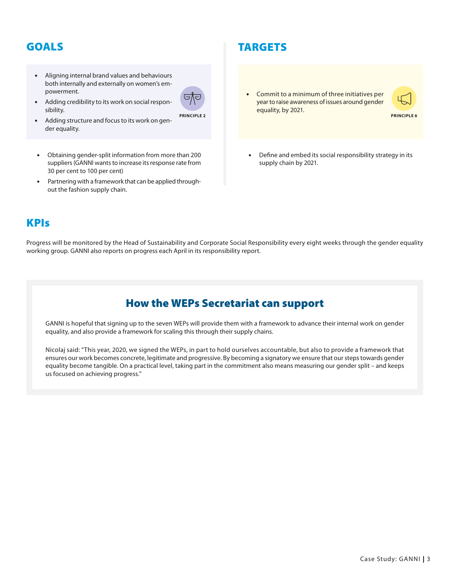#### GOALS

der equality.

• Aligning internal brand values and behaviours both internally and externally on women's empowerment.



**PRINCIPLE 2**

sibility. • Adding structure and focus to its work on gen-

• Adding credibility to its work on social respon-

- Obtaining gender-split information from more than 200 suppliers (GANNI wants to increase its response rate from 30 per cent to 100 per cent)
- Partnering with a framework that can be applied throughout the fashion supply chain.

#### TARGETS

• Commit to a minimum of three initiatives per year to raise awareness of issues around gender equality, by 2021.



**PRINCIPLE 6**

Define and embed its social responsibility strategy in its supply chain by 2021.

#### KPIs

Progress will be monitored by the Head of Sustainability and Corporate Social Responsibility every eight weeks through the gender equality working group. GANNI also reports on progress each April in its responsibility report.

#### How the WEPs Secretariat can support

GANNI is hopeful that signing up to the seven WEPs will provide them with a framework to advance their internal work on gender equality, and also provide a framework for scaling this through their supply chains.

Nicolaj said: "This year, 2020, we signed the WEPs, in part to hold ourselves accountable, but also to provide a framework that ensures our work becomes concrete, legitimate and progressive. By becoming a signatory we ensure that our steps towards gender equality become tangible. On a practical level, taking part in the commitment also means measuring our gender split – and keeps us focused on achieving progress."